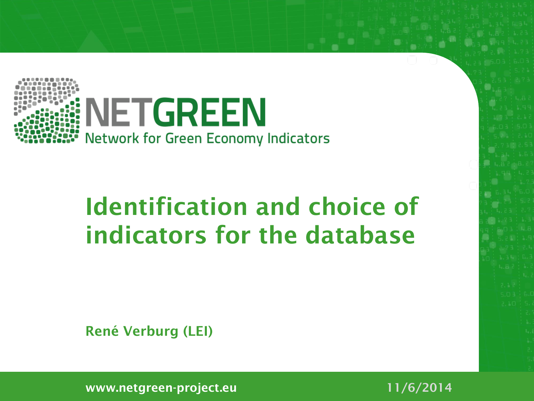

#### **Identification and choice of indicators for the database**

**René Verburg (LEI)**

**www.netgreen-project.eu 11/6/2014**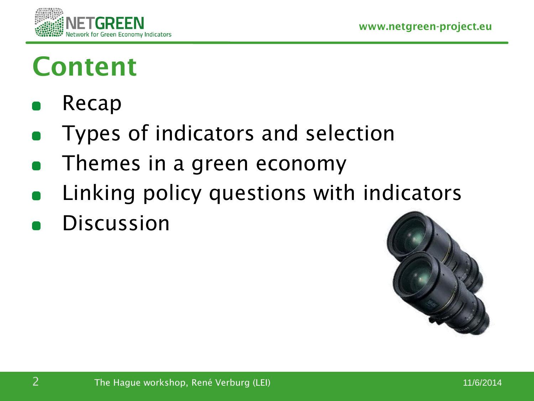

#### **Content**

- Recap
- Types of indicators and selection
- Themes in a green economy
- Linking policy questions with indicators
- Discussion

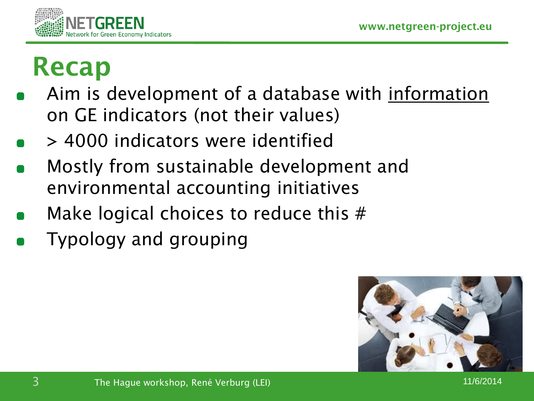

#### **Recap**

- Aim is development of a database with information on GE indicators (not their values)
- > 4000 indicators were identified
- Mostly from sustainable development and environmental accounting initiatives
- Make logical choices to reduce this #
- Typology and grouping

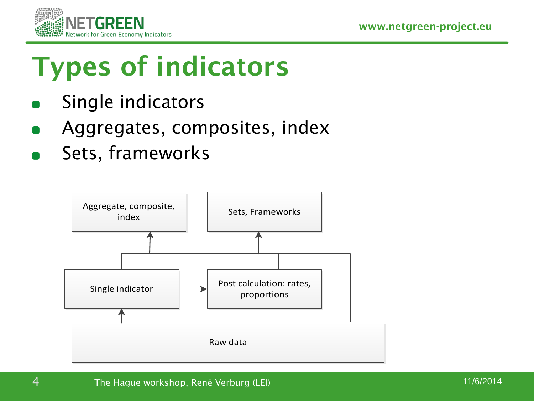

# **Types of indicators**

- Single indicators
- Aggregates, composites, index
- Sets, frameworks

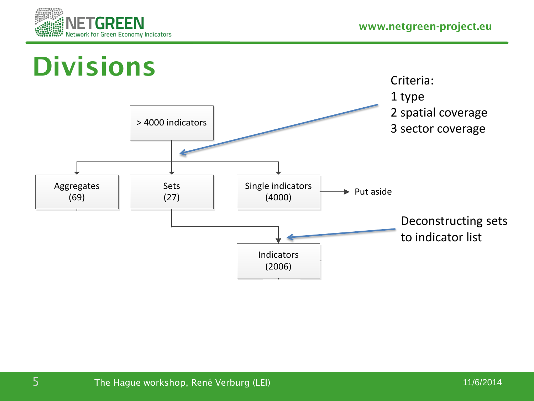

Governance 1



Governance 33 and 33

Governance 4

Governance 10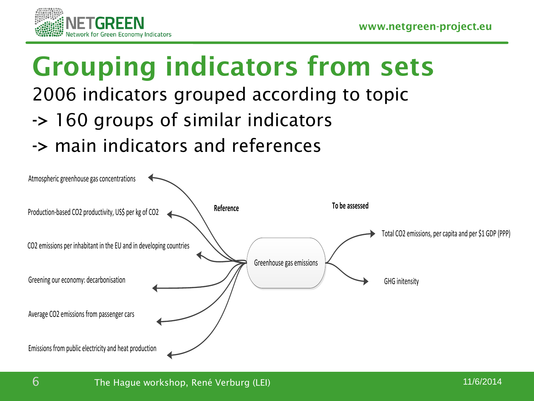

# **Grouping indicators from sets**

#### 2006 indicators grouped according to topic

- **->** 160 groups of similar indicators
- **->** main indicators and references

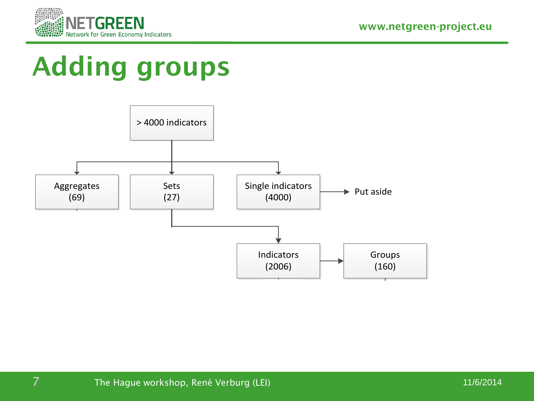

Governance 1

#### **Adding groups**



Governance 33 and 33

Governance 4

Governance 10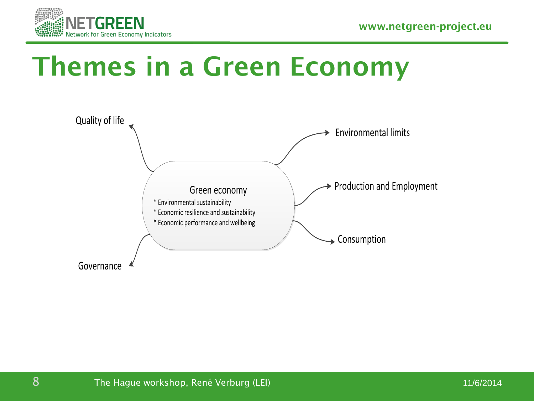



#### **Themes in a Green Economy**

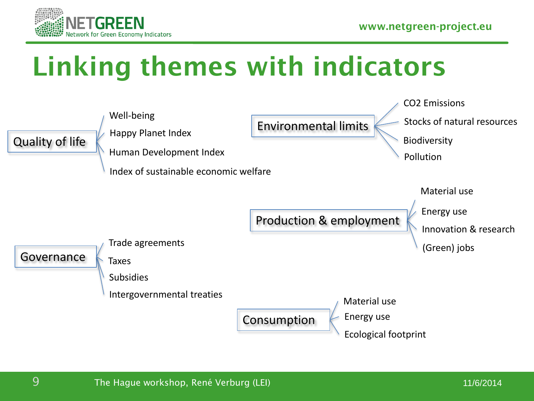

### **Linking themes with indicators**

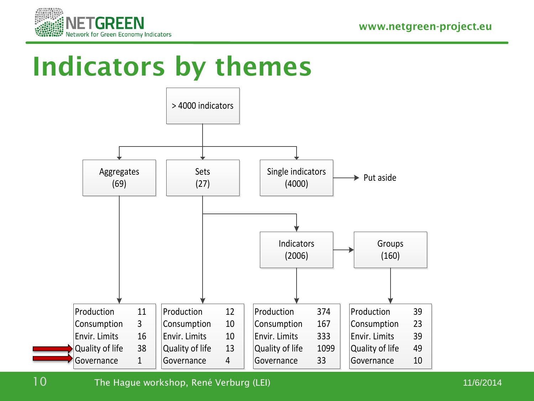

#### **Indicators by themes**



10 The Hague workshop, René Verburg (LEI) 11/6/2014 11/6/2014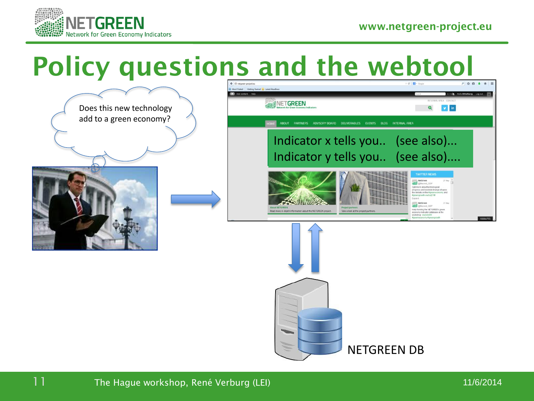

#### **Policy questions and the webtool**

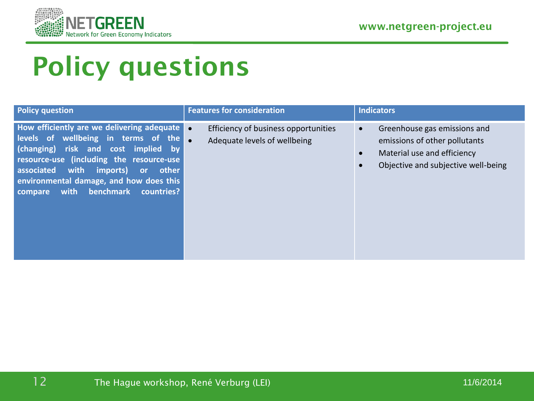



### **Policy questions**

| <b>Policy question</b>                                                                                                                                                                                                                                                                                                         | <b>Features for consideration</b>                                    | <b>Indicators</b>                                                                                                                                             |
|--------------------------------------------------------------------------------------------------------------------------------------------------------------------------------------------------------------------------------------------------------------------------------------------------------------------------------|----------------------------------------------------------------------|---------------------------------------------------------------------------------------------------------------------------------------------------------------|
| <b>How efficiently are we delivering adequate o</b><br>levels of wellbeing in terms of the<br>(changing) risk and cost implied by<br>resource-use (including the resource-use<br>associated<br>with<br>imports)<br>other<br><b>or</b><br>environmental damage, and how does this<br>benchmark<br>with<br>countries?<br>compare | Efficiency of business opportunities<br>Adequate levels of wellbeing | Greenhouse gas emissions and<br>$\bullet$<br>emissions of other pollutants<br>Material use and efficiency<br>$\bullet$<br>Objective and subjective well-being |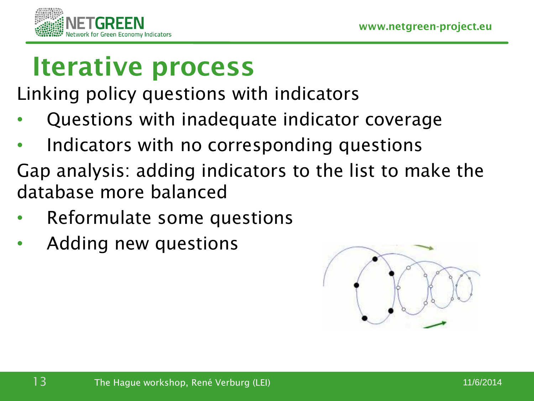

#### **Iterative process**

Linking policy questions with indicators

- Questions with inadequate indicator coverage
- Indicators with no corresponding questions
- Gap analysis: adding indicators to the list to make the database more balanced
- Reformulate some questions
- Adding new questions

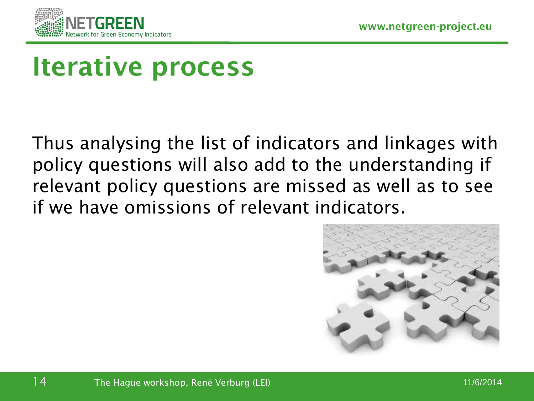

#### **Iterative process**

Thus analysing the list of indicators and linkages with policy questions will also add to the understanding if relevant policy questions are missed as well as to see if we have omissions of relevant indicators.

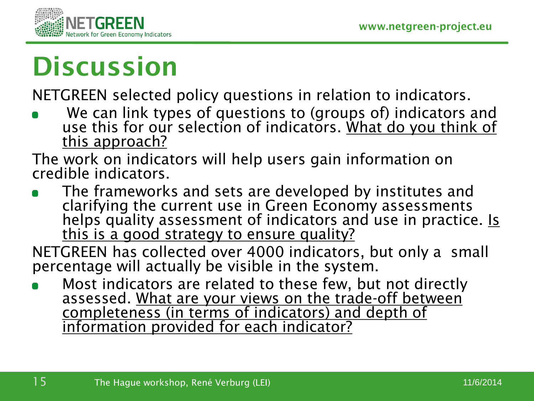

# **Discussion**

NETGREEN selected policy questions in relation to indicators.

We can link types of questions to (groups of) indicators and use this for our selection of indicators. What do you think of this approach?

The work on indicators will help users gain information on credible indicators.

The frameworks and sets are developed by institutes and clarifying the current use in Green Economy assessments helps quality assessment of indicators and use in practice. Is this is a good strategy to ensure quality?

NETGREEN has collected over 4000 indicators, but only a small percentage will actually be visible in the system.

Most indicators are related to these few, but not directly assessed. What are your views on the trade-off between completeness (in terms of indicators) and depth of information provided for each indicator?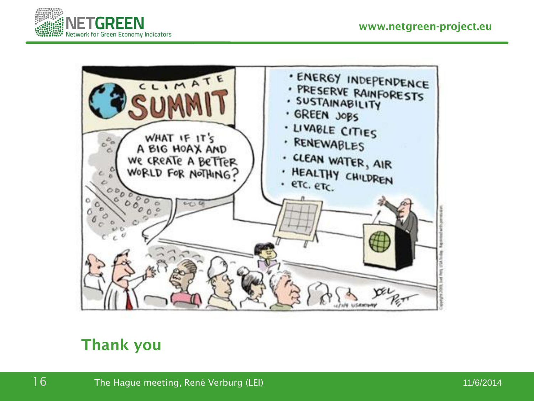



#### **Thank you**